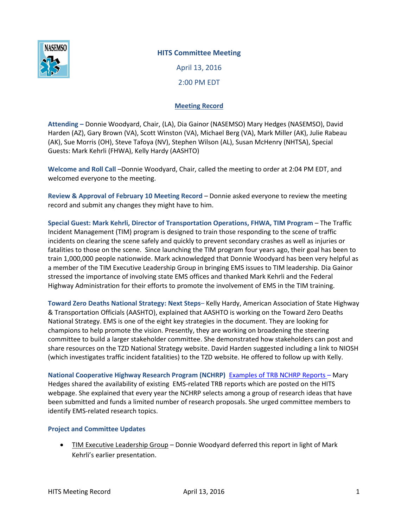

## **HITS Committee Meeting**

April 13, 2016 2:00 PM EDT

## **Meeting Record**

**Attending –** Donnie Woodyard, Chair, (LA), Dia Gainor (NASEMSO) Mary Hedges (NASEMSO), David Harden (AZ), Gary Brown (VA), Scott Winston (VA), Michael Berg (VA), Mark Miller (AK), Julie Rabeau (AK), Sue Morris (OH), Steve Tafoya (NV), Stephen Wilson (AL), Susan McHenry (NHTSA), Special Guests: Mark Kehrli (FHWA), Kelly Hardy (AASHTO)

**Welcome and Roll Call** –Donnie Woodyard, Chair, called the meeting to order at 2:04 PM EDT, and welcomed everyone to the meeting.

**Review & Approval of February 10 Meeting Record** – Donnie asked everyone to review the meeting record and submit any changes they might have to him.

**Special Guest: Mark Kehrli, Director of Transportation Operations, FHWA, TIM Program** – The Traffic Incident Management (TIM) program is designed to train those responding to the scene of traffic incidents on clearing the scene safely and quickly to prevent secondary crashes as well as injuries or fatalities to those on the scene. Since launching the TIM program four years ago, their goal has been to train 1,000,000 people nationwide. Mark acknowledged that Donnie Woodyard has been very helpful as a member of the TIM Executive Leadership Group in bringing EMS issues to TIM leadership. Dia Gainor stressed the importance of involving state EMS offices and thanked Mark Kehrli and the Federal Highway Administration for their efforts to promote the involvement of EMS in the TIM training.

**Toward Zero Deaths National Strategy: Next Steps**– Kelly Hardy, American Association of State Highway & Transportation Officials (AASHTO), explained that AASHTO is working on the Toward Zero Deaths National Strategy. EMS is one of the eight key strategies in the document. They are looking for champions to help promote the vision. Presently, they are working on broadening the steering committee to build a larger stakeholder committee. She demonstrated how stakeholders can post and share resources on the TZD National Strategy website. David Harden suggested including a link to NIOSH (which investigates traffic incident fatalities) to the TZD website. He offered to follow up with Kelly.

**National Cooperative Highway Research Program (NCHRP)** [Examples of TRB NCHRP Reports](https://www.nasemso.org/Projects/HITS/TRB-NCHRP-Reports.asp) – Mary Hedges shared the availability of existing EMS-related TRB reports which are posted on the HITS webpage. She explained that every year the NCHRP selects among a group of research ideas that have been submitted and funds a limited number of research proposals. She urged committee members to identify EMS-related research topics.

## **Project and Committee Updates**

 TIM Executive Leadership Group – Donnie Woodyard deferred this report in light of Mark Kehrli's earlier presentation.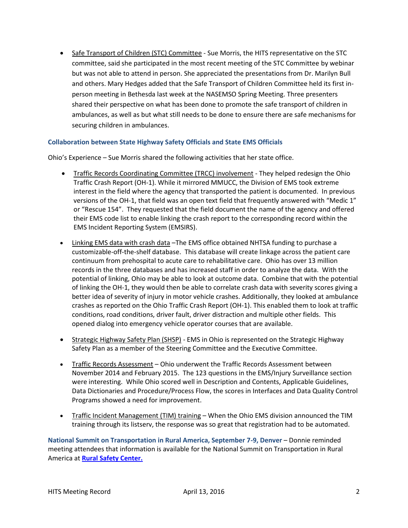• Safe Transport of Children (STC) Committee - Sue Morris, the HITS representative on the STC committee, said she participated in the most recent meeting of the STC Committee by webinar but was not able to attend in person. She appreciated the presentations from Dr. Marilyn Bull and others. Mary Hedges added that the Safe Transport of Children Committee held its first inperson meeting in Bethesda last week at the NASEMSO Spring Meeting. Three presenters shared their perspective on what has been done to promote the safe transport of children in ambulances, as well as but what still needs to be done to ensure there are safe mechanisms for securing children in ambulances.

## **Collaboration between State Highway Safety Officials and State EMS Officials**

Ohio's Experience – Sue Morris shared the following activities that her state office.

- Traffic Records Coordinating Committee (TRCC) involvement They helped redesign the Ohio Traffic Crash Report (OH-1). While it mirrored MMUCC, the Division of EMS took extreme interest in the field where the agency that transported the patient is documented. In previous versions of the OH-1, that field was an open text field that frequently answered with "Medic 1" or "Rescue 154". They requested that the field document the name of the agency and offered their EMS code list to enable linking the crash report to the corresponding record within the EMS Incident Reporting System (EMSIRS).
- Linking EMS data with crash data –The EMS office obtained NHTSA funding to purchase a customizable-off-the-shelf database. This database will create linkage across the patient care continuum from prehospital to acute care to rehabilitative care. Ohio has over 13 million records in the three databases and has increased staff in order to analyze the data. With the potential of linking, Ohio may be able to look at outcome data. Combine that with the potential of linking the OH-1, they would then be able to correlate crash data with severity scores giving a better idea of severity of injury in motor vehicle crashes. Additionally, they looked at ambulance crashes as reported on the Ohio Traffic Crash Report (OH-1). This enabled them to look at traffic conditions, road conditions, driver fault, driver distraction and multiple other fields. This opened dialog into emergency vehicle operator courses that are available.
- Strategic Highway Safety Plan (SHSP) EMS in Ohio is represented on the Strategic Highway Safety Plan as a member of the Steering Committee and the Executive Committee.
- Traffic Records Assessment Ohio underwent the Traffic Records Assessment between November 2014 and February 2015. The 123 questions in the EMS/Injury Surveillance section were interesting. While Ohio scored well in Description and Contents, Applicable Guidelines, Data Dictionaries and Procedure/Process Flow, the scores in Interfaces and Data Quality Control Programs showed a need for improvement.
- Traffic Incident Management (TIM) training When the Ohio EMS division announced the TIM training through its listserv, the response was so great that registration had to be automated.

**National Summit on Transportation in Rural America, September 7-9, Denver** – Donnie reminded meeting attendees that information is available for the National Summit on Transportation in Rural America at **[Rural Safety Center.](http://ruralsafetycenter.org/news-events/moving-rural-america-summit/)**